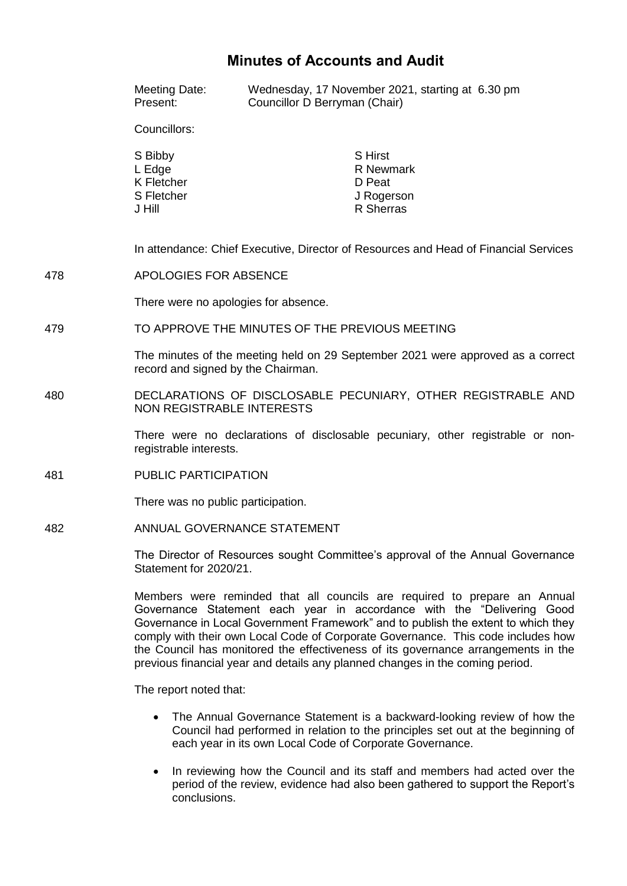# **Minutes of Accounts and Audit**

|     | Meeting Date:<br>Present:                                                                                             | Wednesday, 17 November 2021, starting at 6.30 pm<br>Councillor D Berryman (Chair) |  |
|-----|-----------------------------------------------------------------------------------------------------------------------|-----------------------------------------------------------------------------------|--|
|     | Councillors:                                                                                                          |                                                                                   |  |
|     | S Bibby<br>L Edge<br><b>K</b> Fletcher<br>S Fletcher<br>J Hill                                                        | <b>S</b> Hirst<br>R Newmark<br>D Peat<br>J Rogerson<br>R Sherras                  |  |
|     | In attendance: Chief Executive, Director of Resources and Head of Financial Services                                  |                                                                                   |  |
| 478 | <b>APOLOGIES FOR ABSENCE</b>                                                                                          |                                                                                   |  |
|     | There were no apologies for absence.                                                                                  |                                                                                   |  |
| 479 | TO APPROVE THE MINUTES OF THE PREVIOUS MEETING                                                                        |                                                                                   |  |
|     | The minutes of the meeting held on 29 September 2021 were approved as a correct<br>record and signed by the Chairman. |                                                                                   |  |
| 480 | DECLARATIONS OF DISCLOSABLE PECUNIARY, OTHER REGISTRABLE AND<br><b>NON REGISTRABLE INTERESTS</b>                      |                                                                                   |  |
|     | There were no declarations of disclosable pecuniary, other registrable or non-<br>registrable interests.              |                                                                                   |  |
| 481 | PUBLIC PARTICIPATION                                                                                                  |                                                                                   |  |
|     | There was no public participation.                                                                                    |                                                                                   |  |
| 482 | ANNUAL GOVERNANCE STATEMENT                                                                                           |                                                                                   |  |
|     | The Director of Resources sought Committee's approval of the Annual Governance<br>Statement for 2020/21.              |                                                                                   |  |
|     |                                                                                                                       | Menders were represented that all councils are required to proporce an Appual     |  |

Members were reminded that all councils are required to prepare an Annual Governance Statement each year in accordance with the "Delivering Good Governance in Local Government Framework" and to publish the extent to which they comply with their own Local Code of Corporate Governance. This code includes how the Council has monitored the effectiveness of its governance arrangements in the previous financial year and details any planned changes in the coming period.

The report noted that:

- The Annual Governance Statement is a backward-looking review of how the Council had performed in relation to the principles set out at the beginning of each year in its own Local Code of Corporate Governance.
- In reviewing how the Council and its staff and members had acted over the period of the review, evidence had also been gathered to support the Report's conclusions.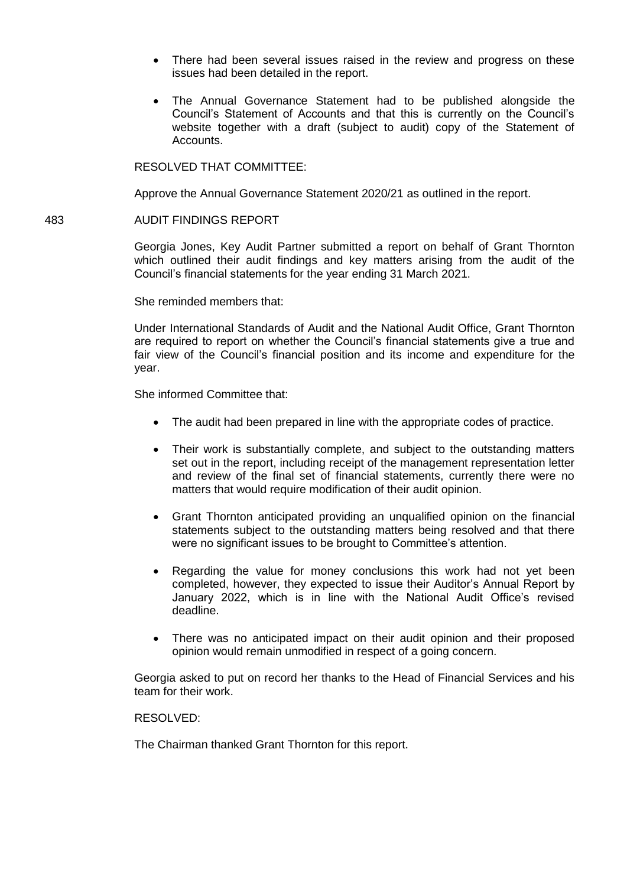- There had been several issues raised in the review and progress on these issues had been detailed in the report.
- The Annual Governance Statement had to be published alongside the Council's Statement of Accounts and that this is currently on the Council's website together with a draft (subject to audit) copy of the Statement of Accounts.

### RESOLVED THAT COMMITTEE:

Approve the Annual Governance Statement 2020/21 as outlined in the report.

#### 483 AUDIT FINDINGS REPORT

Georgia Jones, Key Audit Partner submitted a report on behalf of Grant Thornton which outlined their audit findings and key matters arising from the audit of the Council's financial statements for the year ending 31 March 2021.

She reminded members that:

Under International Standards of Audit and the National Audit Office, Grant Thornton are required to report on whether the Council's financial statements give a true and fair view of the Council's financial position and its income and expenditure for the year.

She informed Committee that:

- The audit had been prepared in line with the appropriate codes of practice.
- Their work is substantially complete, and subject to the outstanding matters set out in the report, including receipt of the management representation letter and review of the final set of financial statements, currently there were no matters that would require modification of their audit opinion.
- Grant Thornton anticipated providing an unqualified opinion on the financial statements subject to the outstanding matters being resolved and that there were no significant issues to be brought to Committee's attention.
- Regarding the value for money conclusions this work had not yet been completed, however, they expected to issue their Auditor's Annual Report by January 2022, which is in line with the National Audit Office's revised deadline.
- There was no anticipated impact on their audit opinion and their proposed opinion would remain unmodified in respect of a going concern.

Georgia asked to put on record her thanks to the Head of Financial Services and his team for their work.

### RESOLVED:

The Chairman thanked Grant Thornton for this report.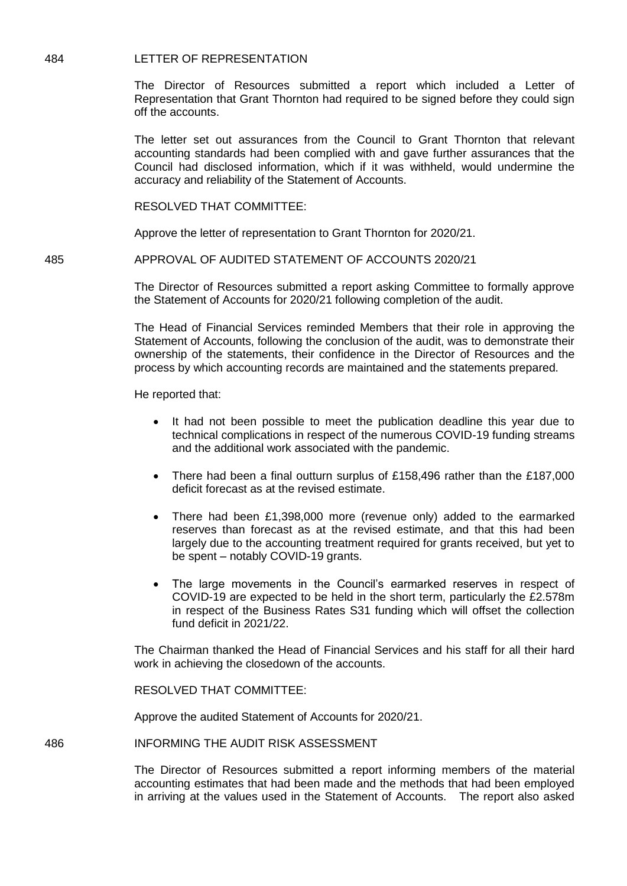## 484 LETTER OF REPRESENTATION

The Director of Resources submitted a report which included a Letter of Representation that Grant Thornton had required to be signed before they could sign off the accounts.

The letter set out assurances from the Council to Grant Thornton that relevant accounting standards had been complied with and gave further assurances that the Council had disclosed information, which if it was withheld, would undermine the accuracy and reliability of the Statement of Accounts.

RESOLVED THAT COMMITTEE:

Approve the letter of representation to Grant Thornton for 2020/21.

485 APPROVAL OF AUDITED STATEMENT OF ACCOUNTS 2020/21

The Director of Resources submitted a report asking Committee to formally approve the Statement of Accounts for 2020/21 following completion of the audit.

The Head of Financial Services reminded Members that their role in approving the Statement of Accounts, following the conclusion of the audit, was to demonstrate their ownership of the statements, their confidence in the Director of Resources and the process by which accounting records are maintained and the statements prepared.

He reported that:

- It had not been possible to meet the publication deadline this year due to technical complications in respect of the numerous COVID-19 funding streams and the additional work associated with the pandemic.
- There had been a final outturn surplus of £158,496 rather than the £187,000 deficit forecast as at the revised estimate.
- There had been £1,398,000 more (revenue only) added to the earmarked reserves than forecast as at the revised estimate, and that this had been largely due to the accounting treatment required for grants received, but yet to be spent – notably COVID-19 grants.
- The large movements in the Council's earmarked reserves in respect of COVID-19 are expected to be held in the short term, particularly the £2.578m in respect of the Business Rates S31 funding which will offset the collection fund deficit in 2021/22.

The Chairman thanked the Head of Financial Services and his staff for all their hard work in achieving the closedown of the accounts.

RESOLVED THAT COMMITTEE:

Approve the audited Statement of Accounts for 2020/21.

486 INFORMING THE AUDIT RISK ASSESSMENT

The Director of Resources submitted a report informing members of the material accounting estimates that had been made and the methods that had been employed in arriving at the values used in the Statement of Accounts. The report also asked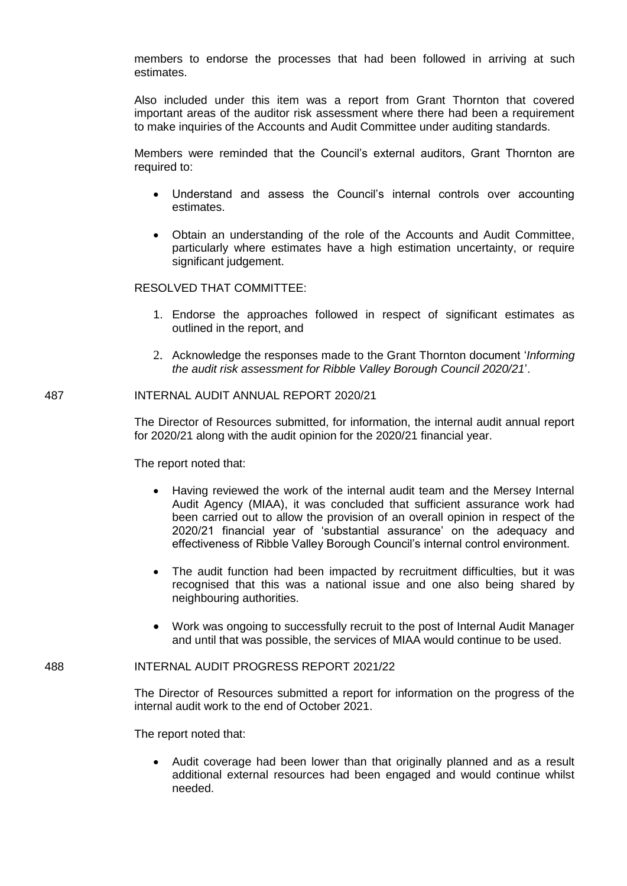members to endorse the processes that had been followed in arriving at such estimates.

Also included under this item was a report from Grant Thornton that covered important areas of the auditor risk assessment where there had been a requirement to make inquiries of the Accounts and Audit Committee under auditing standards.

Members were reminded that the Council's external auditors, Grant Thornton are required to:

- Understand and assess the Council's internal controls over accounting estimates.
- Obtain an understanding of the role of the Accounts and Audit Committee, particularly where estimates have a high estimation uncertainty, or require significant judgement.

RESOLVED THAT COMMITTEE:

- 1. Endorse the approaches followed in respect of significant estimates as outlined in the report, and
- 2. Acknowledge the responses made to the Grant Thornton document '*Informing the audit risk assessment for Ribble Valley Borough Council 2020/21*'.

### 487 INTERNAL AUDIT ANNUAL REPORT 2020/21

The Director of Resources submitted, for information, the internal audit annual report for 2020/21 along with the audit opinion for the 2020/21 financial year.

The report noted that:

- Having reviewed the work of the internal audit team and the Mersey Internal Audit Agency (MIAA), it was concluded that sufficient assurance work had been carried out to allow the provision of an overall opinion in respect of the 2020/21 financial year of 'substantial assurance' on the adequacy and effectiveness of Ribble Valley Borough Council's internal control environment.
- The audit function had been impacted by recruitment difficulties, but it was recognised that this was a national issue and one also being shared by neighbouring authorities.
- Work was ongoing to successfully recruit to the post of Internal Audit Manager and until that was possible, the services of MIAA would continue to be used.

488 INTERNAL AUDIT PROGRESS REPORT 2021/22

The Director of Resources submitted a report for information on the progress of the internal audit work to the end of October 2021.

The report noted that:

 Audit coverage had been lower than that originally planned and as a result additional external resources had been engaged and would continue whilst needed.